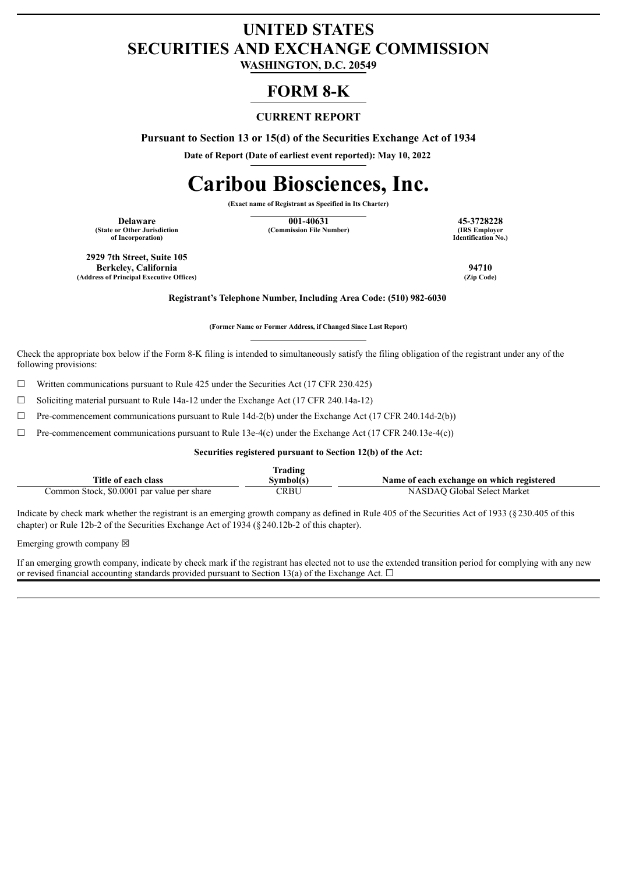## **UNITED STATES SECURITIES AND EXCHANGE COMMISSION**

**WASHINGTON, D.C. 20549**

### **FORM 8-K**

#### **CURRENT REPORT**

**Pursuant to Section 13 or 15(d) of the Securities Exchange Act of 1934**

**Date of Report (Date of earliest event reported): May 10, 2022**

# **Caribou Biosciences, Inc.**

**(Exact name of Registrant as Specified in Its Charter)**

**(State or Other Jurisdiction of Incorporation)**

**Delaware 15-3728228 15-3728228 16-40631 15-3728228 16-40631 15-3728228 16-40631 16-40631 16-40631 16-40631 16-40631 16-4064 16-4064 16-4064 16-4064 16-4064 16-4064 16-4064 16-4064 1 (Commission File Number)** 

**Identification No.)**

**2929 7th Street, Suite 105 Berkeley, California 94710 (Address of Principal Executive Offices)** 

**Registrant's Telephone Number, Including Area Code: (510) 982-6030**

**(Former Name or Former Address, if Changed Since Last Report)**

Check the appropriate box below if the Form 8-K filing is intended to simultaneously satisfy the filing obligation of the registrant under any of the following provisions:

 $\Box$  Written communications pursuant to Rule 425 under the Securities Act (17 CFR 230.425)

☐ Soliciting material pursuant to Rule 14a-12 under the Exchange Act (17 CFR 240.14a-12)

 $\Box$  Pre-commencement communications pursuant to Rule 14d-2(b) under the Exchange Act (17 CFR 240.14d-2(b))

 $\Box$  Pre-commencement communications pursuant to Rule 13e-4(c) under the Exchange Act (17 CFR 240.13e-4(c))

#### **Securities registered pursuant to Section 12(b) of the Act:**

|                                            | lrading   |                                           |
|--------------------------------------------|-----------|-------------------------------------------|
| Title of each class                        | Svmbol(s` | Name of each exchange on which registered |
| Common Stock, \$0.0001 par value per share | CRBU      | NASDAO Global Select Market               |

Indicate by check mark whether the registrant is an emerging growth company as defined in Rule 405 of the Securities Act of 1933 (§230.405 of this chapter) or Rule 12b-2 of the Securities Exchange Act of 1934 (§240.12b-2 of this chapter).

Emerging growth company  $\boxtimes$ 

If an emerging growth company, indicate by check mark if the registrant has elected not to use the extended transition period for complying with any new or revised financial accounting standards provided pursuant to Section 13(a) of the Exchange Act.  $\Box$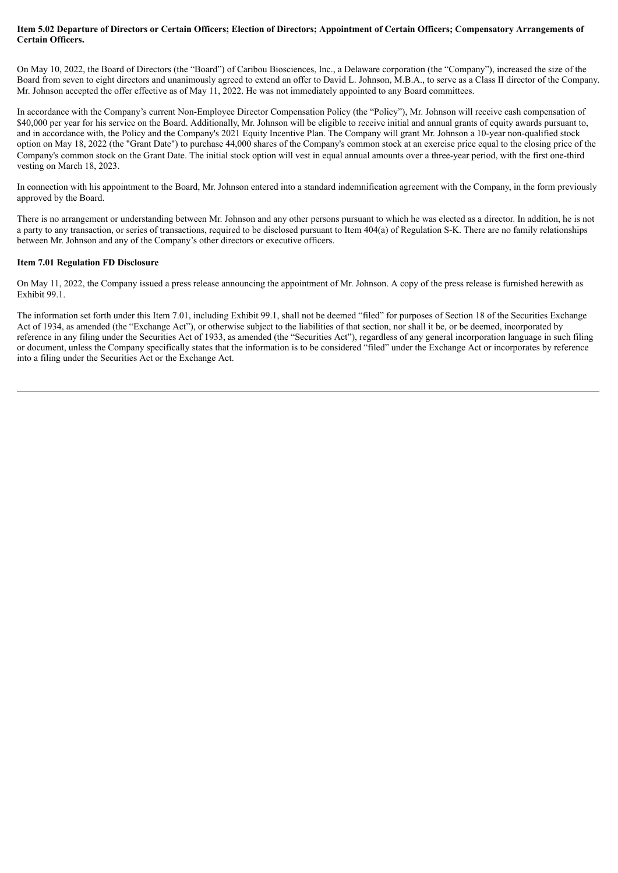#### Item 5.02 Departure of Directors or Certain Officers; Election of Directors; Appointment of Certain Officers; Compensatory Arrangements of **Certain Officers.**

On May 10, 2022, the Board of Directors (the "Board") of Caribou Biosciences, Inc., a Delaware corporation (the "Company"), increased the size of the Board from seven to eight directors and unanimously agreed to extend an offer to David L. Johnson, M.B.A., to serve as a Class II director of the Company. Mr. Johnson accepted the offer effective as of May 11, 2022. He was not immediately appointed to any Board committees.

In accordance with the Company's current Non-Employee Director Compensation Policy (the "Policy"), Mr. Johnson will receive cash compensation of \$40,000 per year for his service on the Board. Additionally, Mr. Johnson will be eligible to receive initial and annual grants of equity awards pursuant to, and in accordance with, the Policy and the Company's 2021 Equity Incentive Plan. The Company will grant Mr. Johnson a 10-year non-qualified stock option on May 18, 2022 (the "Grant Date") to purchase 44,000 shares of the Company's common stock at an exercise price equal to the closing price of the Company's common stock on the Grant Date. The initial stock option will vest in equal annual amounts over a three-year period, with the first one-third vesting on March 18, 2023.

In connection with his appointment to the Board, Mr. Johnson entered into a standard indemnification agreement with the Company, in the form previously approved by the Board.

There is no arrangement or understanding between Mr. Johnson and any other persons pursuant to which he was elected as a director. In addition, he is not a party to any transaction, or series of transactions, required to be disclosed pursuant to Item 404(a) of Regulation S-K. There are no family relationships between Mr. Johnson and any of the Company's other directors or executive officers.

#### **Item 7.01 Regulation FD Disclosure**

On May 11, 2022, the Company issued a press release announcing the appointment of Mr. Johnson. A copy of the press release is furnished herewith as Exhibit 99.1.

The information set forth under this Item 7.01, including Exhibit 99.1, shall not be deemed "filed" for purposes of Section 18 of the Securities Exchange Act of 1934, as amended (the "Exchange Act"), or otherwise subject to the liabilities of that section, nor shall it be, or be deemed, incorporated by reference in any filing under the Securities Act of 1933, as amended (the "Securities Act"), regardless of any general incorporation language in such filing or document, unless the Company specifically states that the information is to be considered "filed" under the Exchange Act or incorporates by reference into a filing under the Securities Act or the Exchange Act.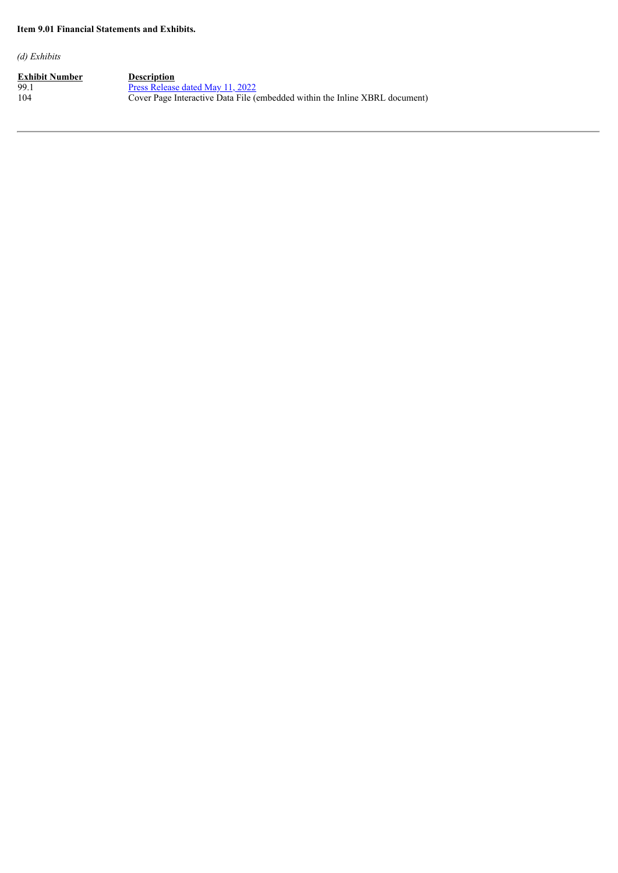#### **Item 9.01 Financial Statements and Exhibits.**

*(d) Exhibits*

**<u>Exhibit Number</u>**<br>99.1<br>104 99.1 Press [Release](#page-4-0) dated May 11, 2022 104 Cover Page Interactive Data File (embedded within the Inline XBRL document)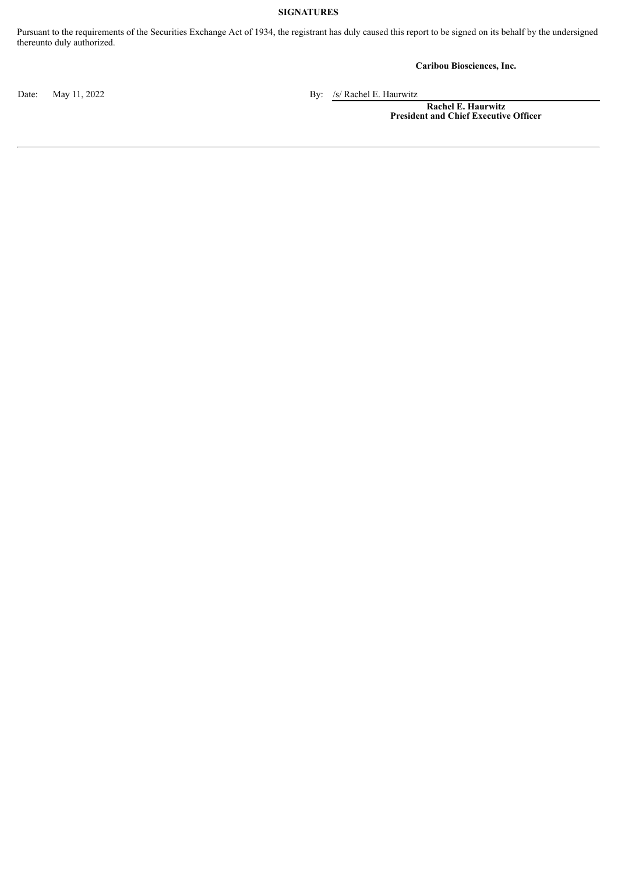#### **SIGNATURES**

Pursuant to the requirements of the Securities Exchange Act of 1934, the registrant has duly caused this report to be signed on its behalf by the undersigned thereunto duly authorized.

**Caribou Biosciences, Inc.**

Date: May 11, 2022 By: /s/ Rachel E. Haurwitz

**Rachel E. Haurwitz President and Chief Executive Officer**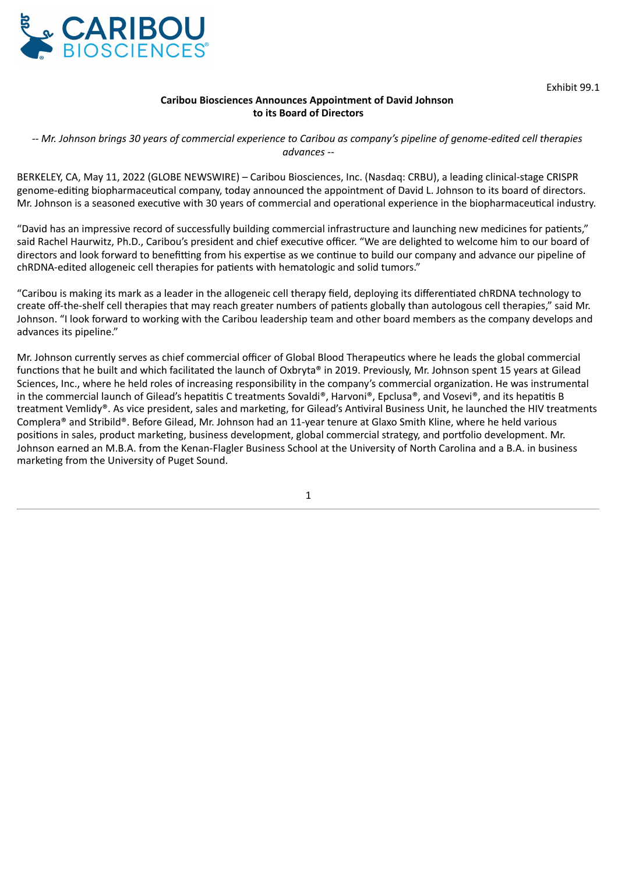<span id="page-4-0"></span>

Exhibit 99.1

#### **Caribou Biosciences Announces Appointment of David Johnson to its Board of Directors**

*-- Mr. Johnson brings 30 years of commercial experience to Caribou as company's pipeline of genome-edited cell therapies advances --*

BERKELEY, CA, May 11, 2022 (GLOBE NEWSWIRE) – Caribou Biosciences, Inc. (Nasdaq: CRBU), a leading clinical-stage CRISPR genome-editing biopharmaceutical company, today announced the appointment of David L. Johnson to its board of directors. Mr. Johnson is a seasoned executive with 30 years of commercial and operational experience in the biopharmaceutical industry.

"David has an impressive record of successfully building commercial infrastructure and launching new medicines for patients," said Rachel Haurwitz, Ph.D., Caribou's president and chief executive officer. "We are delighted to welcome him to our board of directors and look forward to benefitting from his expertise as we continue to build our company and advance our pipeline of chRDNA-edited allogeneic cell therapies for patients with hematologic and solid tumors."

"Caribou is making its mark as a leader in the allogeneic cell therapy field, deploying its differentiated chRDNA technology to create off-the-shelf cell therapies that may reach greater numbers of patients globally than autologous cell therapies," said Mr. Johnson. "I look forward to working with the Caribou leadership team and other board members as the company develops and advances its pipeline."

Mr. Johnson currently serves as chief commercial officer of Global Blood Therapeutics where he leads the global commercial functions that he built and which facilitated the launch of Oxbryta® in 2019. Previously, Mr. Johnson spent 15 years at Gilead Sciences, Inc., where he held roles of increasing responsibility in the company's commercial organization. He was instrumental in the commercial launch of Gilead's hepatitis C treatments Sovaldi®, Harvoni®, Epclusa®, and Vosevi®, and its hepatitis B treatment Vemlidy®. As vice president, sales and marketing, for Gilead's Antiviral Business Unit, he launched the HIV treatments Complera® and Stribild®. Before Gilead, Mr. Johnson had an 11-year tenure at Glaxo Smith Kline, where he held various positions in sales, product marketing, business development, global commercial strategy, and portfolio development. Mr. Johnson earned an M.B.A. from the Kenan-Flagler Business School at the University of North Carolina and a B.A. in business marketing from the University of Puget Sound.

1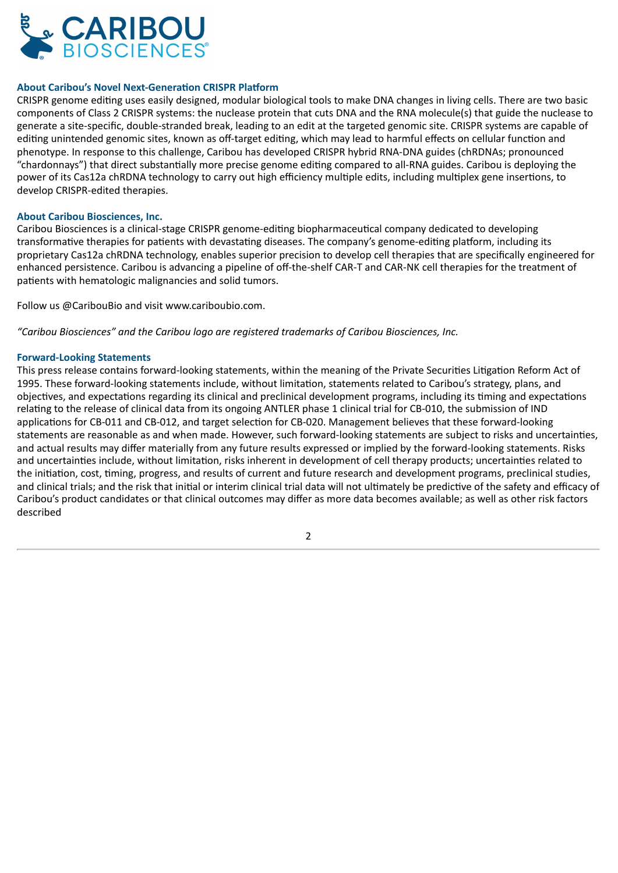

#### **About Caribou's Novel Next-Generation CRISPR Platform**

CRISPR genome editing uses easily designed, modular biological tools to make DNA changes in living cells. There are two basic components of Class 2 CRISPR systems: the nuclease protein that cuts DNA and the RNA molecule(s) that guide the nuclease to generate a site-specific, double-stranded break, leading to an edit at the targeted genomic site. CRISPR systems are capable of editing unintended genomic sites, known as off-target editing, which may lead to harmful effects on cellular function and phenotype. In response to this challenge, Caribou has developed CRISPR hybrid RNA-DNA guides (chRDNAs; pronounced "chardonnays") that direct substantially more precise genome editing compared to all-RNA guides. Caribou is deploying the power of its Cas12a chRDNA technology to carry out high efficiency multiple edits, including multiplex gene insertions, to develop CRISPR-edited therapies.

#### **About Caribou Biosciences, Inc.**

Caribou Biosciences is a clinical-stage CRISPR genome-editing biopharmaceutical company dedicated to developing transformative therapies for patients with devastating diseases. The company's genome-editing platform, including its proprietary Cas12a chRDNA technology, enables superior precision to develop cell therapies that are specifically engineered for enhanced persistence. Caribou is advancing a pipeline of off-the-shelf CAR-T and CAR-NK cell therapies for the treatment of patients with hematologic malignancies and solid tumors.

Follow us @CaribouBio and visit www.cariboubio.com.

*"Caribou Biosciences" and the Caribou logo are registered trademarks of Caribou Biosciences, Inc.*

#### **Forward-Looking Statements**

This press release contains forward-looking statements, within the meaning of the Private Securities Litigation Reform Act of 1995. These forward-looking statements include, without limitation, statements related to Caribou's strategy, plans, and objectives, and expectations regarding its clinical and preclinical development programs, including its timing and expectations relating to the release of clinical data from its ongoing ANTLER phase 1 clinical trial for CB-010, the submission of IND applications for CB-011 and CB-012, and target selection for CB-020. Management believes that these forward-looking statements are reasonable as and when made. However, such forward-looking statements are subject to risks and uncertainties, and actual results may differ materially from any future results expressed or implied by the forward-looking statements. Risks and uncertainties include, without limitation, risks inherent in development of cell therapy products; uncertainties related to the initiation, cost, timing, progress, and results of current and future research and development programs, preclinical studies, and clinical trials; and the risk that initial or interim clinical trial data will not ultimately be predictive of the safety and efficacy of Caribou's product candidates or that clinical outcomes may differ as more data becomes available; as well as other risk factors described